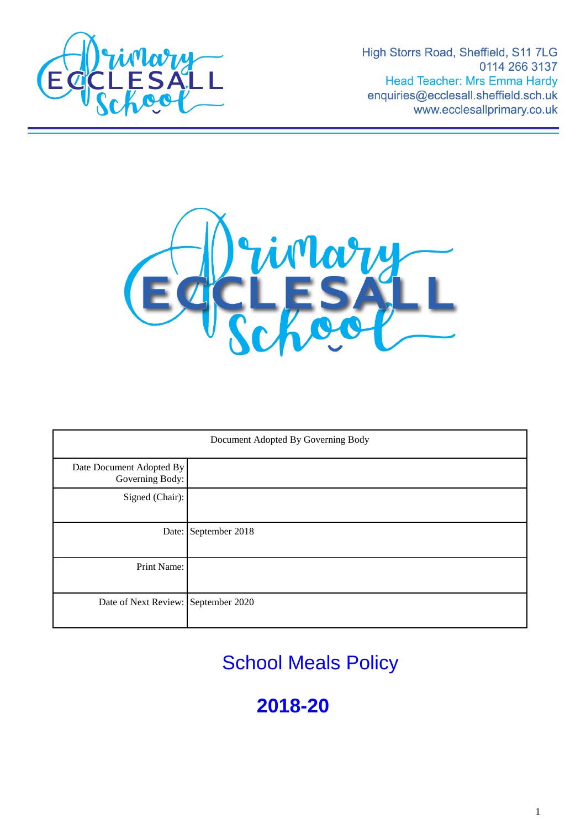

High Storrs Road, Sheffield, S11 7LG 0114 266 3137 Head Teacher: Mrs Emma Hardy enquiries@ecclesall.sheffield.sch.uk www.ecclesallprimary.co.uk



| Document Adopted By Governing Body          |                      |
|---------------------------------------------|----------------------|
| Date Document Adopted By<br>Governing Body: |                      |
| Signed (Chair):                             |                      |
|                                             | Date: September 2018 |
| Print Name:                                 |                      |
| Date of Next Review: September 2020         |                      |

School Meals Policy

**2018-20**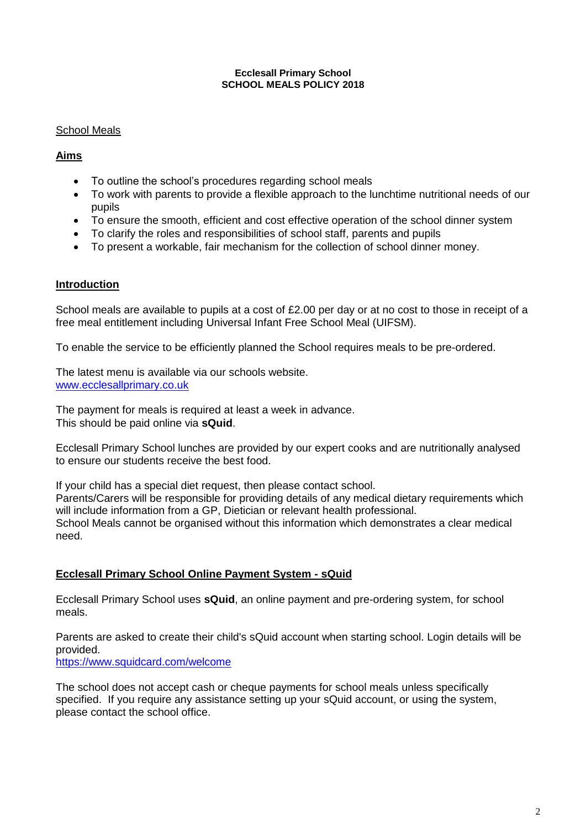#### **Ecclesall Primary School SCHOOL MEALS POLICY 2018**

## School Meals

## **Aims**

- To outline the school's procedures regarding school meals
- To work with parents to provide a flexible approach to the lunchtime nutritional needs of our pupils
- To ensure the smooth, efficient and cost effective operation of the school dinner system
- To clarify the roles and responsibilities of school staff, parents and pupils
- To present a workable, fair mechanism for the collection of school dinner money.

## **Introduction**

School meals are available to pupils at a cost of £2.00 per day or at no cost to those in receipt of a free meal entitlement including Universal Infant Free School Meal (UIFSM).

To enable the service to be efficiently planned the School requires meals to be pre-ordered.

The latest menu is available via our schools website. [www.ecclesallprimary.co.uk](http://www.ecclesallprimary.co.uk/)

The payment for meals is required at least a week in advance. This should be paid online via **sQuid**.

Ecclesall Primary School lunches are provided by our expert cooks and are nutritionally analysed to ensure our students receive the best food.

If your child has a special diet request, then please contact school. Parents/Carers will be responsible for providing details of any medical dietary requirements which will include information from a GP, Dietician or relevant health professional. School Meals cannot be organised without this information which demonstrates a clear medical need.

# **Ecclesall Primary School Online Payment System - sQuid**

Ecclesall Primary School uses **sQuid**, an online payment and pre-ordering system, for school meals.

Parents are asked to create their child's sQuid account when starting school. Login details will be provided.

<https://www.squidcard.com/welcome>

The school does not accept cash or cheque payments for school meals unless specifically specified. If you require any assistance setting up your sQuid account, or using the system, please contact the school office.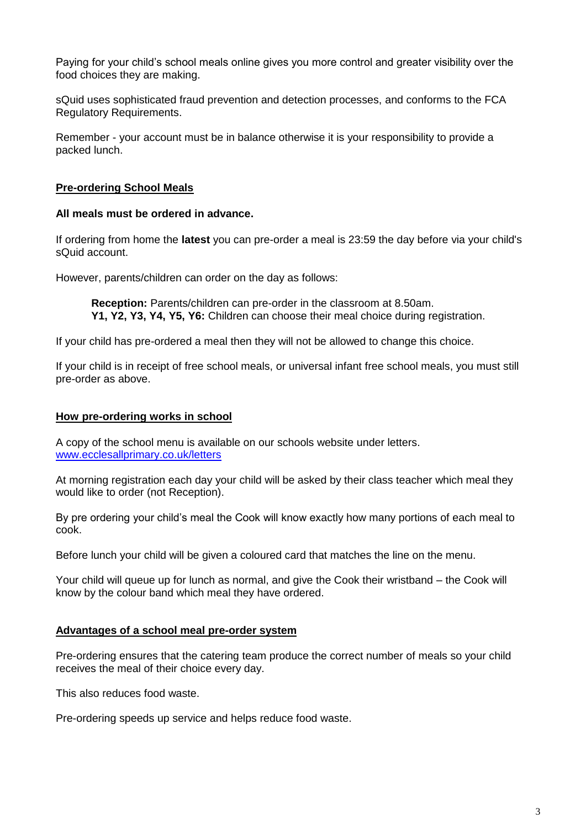Paying for your child's school meals online gives you more control and greater visibility over the food choices they are making.

sQuid uses sophisticated fraud prevention and detection processes, and conforms to the FCA Regulatory Requirements.

Remember - your account must be in balance otherwise it is your responsibility to provide a packed lunch.

### **Pre-ordering School Meals**

#### **All meals must be ordered in advance.**

If ordering from home the **latest** you can pre-order a meal is 23:59 the day before via your child's sQuid account.

However, parents/children can order on the day as follows:

**Reception:** Parents/children can pre-order in the classroom at 8.50am. **Y1, Y2, Y3, Y4, Y5, Y6:** Children can choose their meal choice during registration.

If your child has pre-ordered a meal then they will not be allowed to change this choice.

If your child is in receipt of free school meals, or universal infant free school meals, you must still pre-order as above.

### **How pre-ordering works in school**

A copy of the school menu is available on our schools website under letters. [www.ecclesallprimary.co.uk/letters](http://www.ecclesallprimary.co.uk/letters)

At morning registration each day your child will be asked by their class teacher which meal they would like to order (not Reception).

By pre ordering your child's meal the Cook will know exactly how many portions of each meal to cook.

Before lunch your child will be given a coloured card that matches the line on the menu.

Your child will queue up for lunch as normal, and give the Cook their wristband – the Cook will know by the colour band which meal they have ordered.

### **Advantages of a school meal pre-order system**

Pre-ordering ensures that the catering team produce the correct number of meals so your child receives the meal of their choice every day.

This also reduces food waste.

Pre-ordering speeds up service and helps reduce food waste.